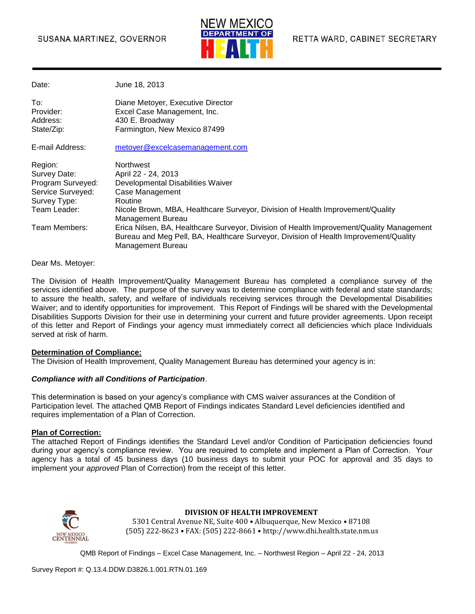

Date: June 18, 2013

| To:<br>Provider:<br>Address:<br>State/Zip:                                                        | Diane Metoyer, Executive Director<br>Excel Case Management, Inc.<br>430 E. Broadway<br>Farmington, New Mexico 87499                                                                                        |
|---------------------------------------------------------------------------------------------------|------------------------------------------------------------------------------------------------------------------------------------------------------------------------------------------------------------|
| E-mail Address:                                                                                   | metoyer@excelcasemanagement.com                                                                                                                                                                            |
| Region:<br>Survey Date:<br>Program Surveyed:<br>Service Surveyed:<br>Survey Type:<br>Team Leader: | Northwest<br>April 22 - 24, 2013<br>Developmental Disabilities Waiver<br>Case Management<br>Routine<br>Nicole Brown, MBA, Healthcare Surveyor, Division of Health Improvement/Quality<br>Management Bureau |
| Team Members:                                                                                     | Erica Nilsen, BA, Healthcare Surveyor, Division of Health Improvement/Quality Management<br>Bureau and Meg Pell, BA, Healthcare Surveyor, Division of Health Improvement/Quality<br>Management Bureau      |

Dear Ms. Metoyer:

The Division of Health Improvement/Quality Management Bureau has completed a compliance survey of the services identified above. The purpose of the survey was to determine compliance with federal and state standards; to assure the health, safety, and welfare of individuals receiving services through the Developmental Disabilities Waiver; and to identify opportunities for improvement. This Report of Findings will be shared with the Developmental Disabilities Supports Division for their use in determining your current and future provider agreements. Upon receipt of this letter and Report of Findings your agency must immediately correct all deficiencies which place Individuals served at risk of harm.

#### **Determination of Compliance:**

The Division of Health Improvement, Quality Management Bureau has determined your agency is in:

#### *Compliance with all Conditions of Participation*.

This determination is based on your agency's compliance with CMS waiver assurances at the Condition of Participation level. The attached QMB Report of Findings indicates Standard Level deficiencies identified and requires implementation of a Plan of Correction.

#### **Plan of Correction:**

The attached Report of Findings identifies the Standard Level and/or Condition of Participation deficiencies found during your agency's compliance review. You are required to complete and implement a Plan of Correction. Your agency has a total of 45 business days (10 business days to submit your POC for approval and 35 days to implement your *approved* Plan of Correction) from the receipt of this letter.



#### **DIVISION OF HEALTH IMPROVEMENT**

5301 Central Avenue NE, Suite 400 • Albuquerque, New Mexico • 87108 (505) 222-8623 • FAX: (505) 222-8661 • http://www.dhi.health.state.nm.us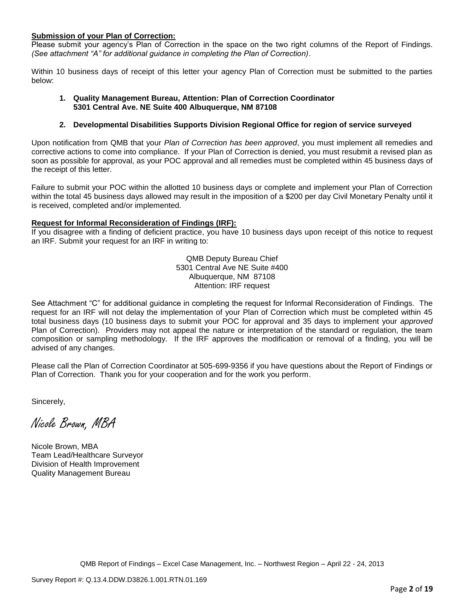#### **Submission of your Plan of Correction:**

Please submit your agency's Plan of Correction in the space on the two right columns of the Report of Findings. *(See attachment "A" for additional guidance in completing the Plan of Correction)*.

Within 10 business days of receipt of this letter your agency Plan of Correction must be submitted to the parties below:

#### **1. Quality Management Bureau, Attention: Plan of Correction Coordinator 5301 Central Ave. NE Suite 400 Albuquerque, NM 87108**

#### **2. Developmental Disabilities Supports Division Regional Office for region of service surveyed**

Upon notification from QMB that your *Plan of Correction has been approved*, you must implement all remedies and corrective actions to come into compliance. If your Plan of Correction is denied, you must resubmit a revised plan as soon as possible for approval, as your POC approval and all remedies must be completed within 45 business days of the receipt of this letter.

Failure to submit your POC within the allotted 10 business days or complete and implement your Plan of Correction within the total 45 business days allowed may result in the imposition of a \$200 per day Civil Monetary Penalty until it is received, completed and/or implemented.

#### **Request for Informal Reconsideration of Findings (IRF):**

If you disagree with a finding of deficient practice, you have 10 business days upon receipt of this notice to request an IRF. Submit your request for an IRF in writing to:

> QMB Deputy Bureau Chief 5301 Central Ave NE Suite #400 Albuquerque, NM 87108 Attention: IRF request

See Attachment "C" for additional guidance in completing the request for Informal Reconsideration of Findings. The request for an IRF will not delay the implementation of your Plan of Correction which must be completed within 45 total business days (10 business days to submit your POC for approval and 35 days to implement your *approved* Plan of Correction). Providers may not appeal the nature or interpretation of the standard or regulation, the team composition or sampling methodology. If the IRF approves the modification or removal of a finding, you will be advised of any changes.

Please call the Plan of Correction Coordinator at 505-699-9356 if you have questions about the Report of Findings or Plan of Correction. Thank you for your cooperation and for the work you perform.

Sincerely,

Nicole Brown, MBA

Nicole Brown, MBA Team Lead/Healthcare Surveyor Division of Health Improvement Quality Management Bureau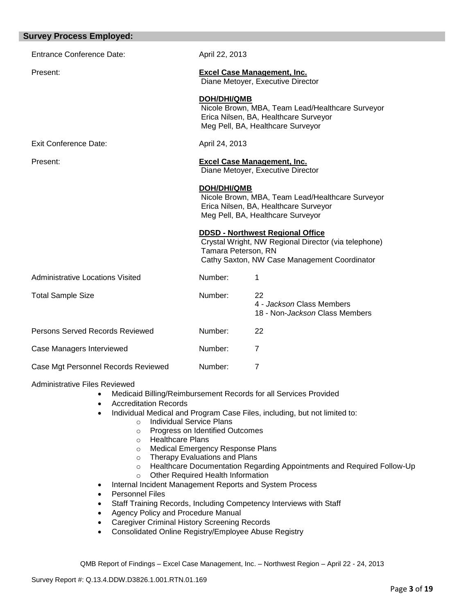| <b>Survey Process Employed:</b>         |                     |                                                                                                                                                 |
|-----------------------------------------|---------------------|-------------------------------------------------------------------------------------------------------------------------------------------------|
| <b>Entrance Conference Date:</b>        | April 22, 2013      |                                                                                                                                                 |
| Present:                                |                     | <b>Excel Case Management, Inc.</b><br>Diane Metoyer, Executive Director                                                                         |
|                                         | <b>DOH/DHI/QMB</b>  | Nicole Brown, MBA, Team Lead/Healthcare Surveyor<br>Erica Nilsen, BA, Healthcare Surveyor<br>Meg Pell, BA, Healthcare Surveyor                  |
| <b>Exit Conference Date:</b>            | April 24, 2013      |                                                                                                                                                 |
| Present:                                |                     | <b>Excel Case Management, Inc.</b><br>Diane Metoyer, Executive Director                                                                         |
|                                         | <b>DOH/DHI/QMB</b>  | Nicole Brown, MBA, Team Lead/Healthcare Surveyor<br>Erica Nilsen, BA, Healthcare Surveyor<br>Meg Pell, BA, Healthcare Surveyor                  |
|                                         | Tamara Peterson, RN | <b>DDSD - Northwest Regional Office</b><br>Crystal Wright, NW Regional Director (via telephone)<br>Cathy Saxton, NW Case Management Coordinator |
| <b>Administrative Locations Visited</b> | Number:             | 1                                                                                                                                               |
| <b>Total Sample Size</b>                | Number:             | 22<br>4 - Jackson Class Members<br>18 - Non- <i>Jackson</i> Class Members                                                                       |
| Persons Served Records Reviewed         | Number:             | 22                                                                                                                                              |
| Case Managers Interviewed               | Number:             | $\overline{7}$                                                                                                                                  |
| Case Mgt Personnel Records Reviewed     | Number:             | $\overline{7}$                                                                                                                                  |

Administrative Files Reviewed

- Medicaid Billing/Reimbursement Records for all Services Provided
- Accreditation Records
- Individual Medical and Program Case Files, including, but not limited to:
	- o Individual Service Plans
		- o Progress on Identified Outcomes
		- o Healthcare Plans
		- o Medical Emergency Response Plans
		- o Therapy Evaluations and Plans
		- o Healthcare Documentation Regarding Appointments and Required Follow-Up
	- o Other Required Health Information
- Internal Incident Management Reports and System Process
- Personnel Files
- Staff Training Records, Including Competency Interviews with Staff
- Agency Policy and Procedure Manual
- Caregiver Criminal History Screening Records
- Consolidated Online Registry/Employee Abuse Registry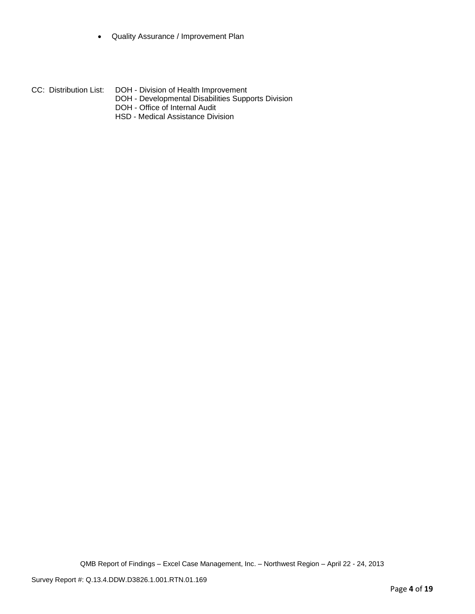- Quality Assurance / Improvement Plan
- CC: Distribution List: DOH Division of Health Improvement
	- DOH Developmental Disabilities Supports Division
	- DOH Office of Internal Audit
	- HSD Medical Assistance Division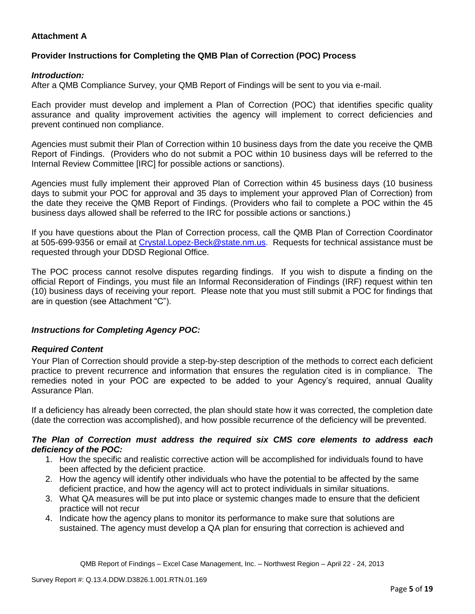## **Attachment A**

## **Provider Instructions for Completing the QMB Plan of Correction (POC) Process**

### *Introduction:*

After a QMB Compliance Survey, your QMB Report of Findings will be sent to you via e-mail.

Each provider must develop and implement a Plan of Correction (POC) that identifies specific quality assurance and quality improvement activities the agency will implement to correct deficiencies and prevent continued non compliance.

Agencies must submit their Plan of Correction within 10 business days from the date you receive the QMB Report of Findings. (Providers who do not submit a POC within 10 business days will be referred to the Internal Review Committee [IRC] for possible actions or sanctions).

Agencies must fully implement their approved Plan of Correction within 45 business days (10 business days to submit your POC for approval and 35 days to implement your approved Plan of Correction) from the date they receive the QMB Report of Findings. (Providers who fail to complete a POC within the 45 business days allowed shall be referred to the IRC for possible actions or sanctions.)

If you have questions about the Plan of Correction process, call the QMB Plan of Correction Coordinator at 505-699-9356 or email at Crystal.Lopez-Beck@state.nm.us. Requests for technical assistance must be requested through your DDSD Regional Office.

The POC process cannot resolve disputes regarding findings. If you wish to dispute a finding on the official Report of Findings, you must file an Informal Reconsideration of Findings (IRF) request within ten (10) business days of receiving your report. Please note that you must still submit a POC for findings that are in question (see Attachment "C").

## *Instructions for Completing Agency POC:*

## *Required Content*

Your Plan of Correction should provide a step-by-step description of the methods to correct each deficient practice to prevent recurrence and information that ensures the regulation cited is in compliance. The remedies noted in your POC are expected to be added to your Agency's required, annual Quality Assurance Plan.

If a deficiency has already been corrected, the plan should state how it was corrected, the completion date (date the correction was accomplished), and how possible recurrence of the deficiency will be prevented.

#### *The Plan of Correction must address the required six CMS core elements to address each deficiency of the POC:*

- 1. How the specific and realistic corrective action will be accomplished for individuals found to have been affected by the deficient practice.
- 2. How the agency will identify other individuals who have the potential to be affected by the same deficient practice, and how the agency will act to protect individuals in similar situations.
- 3. What QA measures will be put into place or systemic changes made to ensure that the deficient practice will not recur
- 4. Indicate how the agency plans to monitor its performance to make sure that solutions are sustained. The agency must develop a QA plan for ensuring that correction is achieved and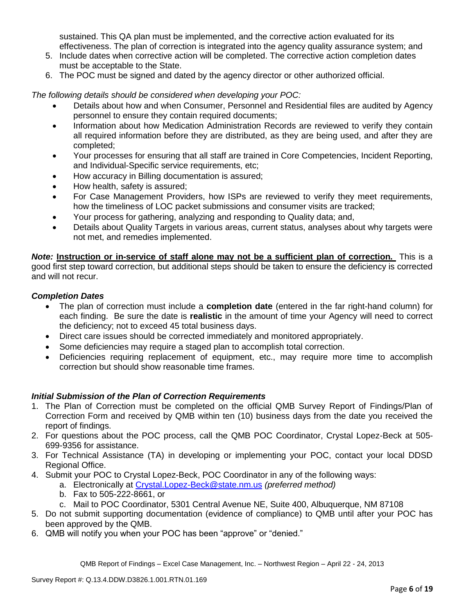sustained. This QA plan must be implemented, and the corrective action evaluated for its effectiveness. The plan of correction is integrated into the agency quality assurance system; and

- 5. Include dates when corrective action will be completed. The corrective action completion dates must be acceptable to the State.
- 6. The POC must be signed and dated by the agency director or other authorized official.

*The following details should be considered when developing your POC:*

- Details about how and when Consumer, Personnel and Residential files are audited by Agency personnel to ensure they contain required documents;
- Information about how Medication Administration Records are reviewed to verify they contain all required information before they are distributed, as they are being used, and after they are completed;
- Your processes for ensuring that all staff are trained in Core Competencies, Incident Reporting, and Individual-Specific service requirements, etc;
- How accuracy in Billing documentation is assured;
- How health, safety is assured;
- For Case Management Providers, how ISPs are reviewed to verify they meet requirements, how the timeliness of LOC packet submissions and consumer visits are tracked;
- Your process for gathering, analyzing and responding to Quality data; and,
- Details about Quality Targets in various areas, current status, analyses about why targets were not met, and remedies implemented.

*Note:* **Instruction or in-service of staff alone may not be a sufficient plan of correction.** This is a good first step toward correction, but additional steps should be taken to ensure the deficiency is corrected and will not recur.

### *Completion Dates*

- The plan of correction must include a **completion date** (entered in the far right-hand column) for each finding. Be sure the date is **realistic** in the amount of time your Agency will need to correct the deficiency; not to exceed 45 total business days.
- Direct care issues should be corrected immediately and monitored appropriately.
- Some deficiencies may require a staged plan to accomplish total correction.
- Deficiencies requiring replacement of equipment, etc., may require more time to accomplish correction but should show reasonable time frames.

## *Initial Submission of the Plan of Correction Requirements*

- 1. The Plan of Correction must be completed on the official QMB Survey Report of Findings/Plan of Correction Form and received by QMB within ten (10) business days from the date you received the report of findings.
- 2. For questions about the POC process, call the QMB POC Coordinator, Crystal Lopez-Beck at 505- 699-9356 for assistance.
- 3. For Technical Assistance (TA) in developing or implementing your POC, contact your local DDSD Regional Office.
- 4. Submit your POC to Crystal Lopez-Beck, POC Coordinator in any of the following ways:
	- a. Electronically at Crystal.Lopez-Beck@state.nm.us *(preferred method)*
	- b. Fax to 505-222-8661, or
	- c. Mail to POC Coordinator, 5301 Central Avenue NE, Suite 400, Albuquerque, NM 87108
- 5. Do not submit supporting documentation (evidence of compliance) to QMB until after your POC has been approved by the QMB.
- 6. QMB will notify you when your POC has been "approve" or "denied."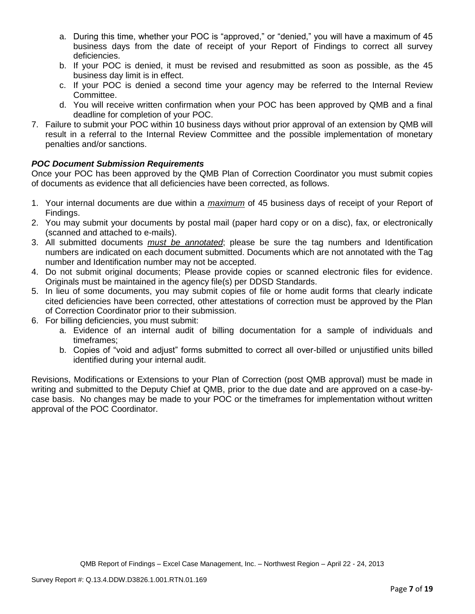- a. During this time, whether your POC is "approved," or "denied," you will have a maximum of 45 business days from the date of receipt of your Report of Findings to correct all survey deficiencies.
- b. If your POC is denied, it must be revised and resubmitted as soon as possible, as the 45 business day limit is in effect.
- c. If your POC is denied a second time your agency may be referred to the Internal Review Committee.
- d. You will receive written confirmation when your POC has been approved by QMB and a final deadline for completion of your POC.
- 7. Failure to submit your POC within 10 business days without prior approval of an extension by QMB will result in a referral to the Internal Review Committee and the possible implementation of monetary penalties and/or sanctions.

# *POC Document Submission Requirements*

Once your POC has been approved by the QMB Plan of Correction Coordinator you must submit copies of documents as evidence that all deficiencies have been corrected, as follows.

- 1. Your internal documents are due within a *maximum* of 45 business days of receipt of your Report of Findings.
- 2. You may submit your documents by postal mail (paper hard copy or on a disc), fax, or electronically (scanned and attached to e-mails).
- 3. All submitted documents *must be annotated*; please be sure the tag numbers and Identification numbers are indicated on each document submitted. Documents which are not annotated with the Tag number and Identification number may not be accepted.
- 4. Do not submit original documents; Please provide copies or scanned electronic files for evidence. Originals must be maintained in the agency file(s) per DDSD Standards.
- 5. In lieu of some documents, you may submit copies of file or home audit forms that clearly indicate cited deficiencies have been corrected, other attestations of correction must be approved by the Plan of Correction Coordinator prior to their submission.
- 6. For billing deficiencies, you must submit:
	- a. Evidence of an internal audit of billing documentation for a sample of individuals and timeframes;
	- b. Copies of "void and adjust" forms submitted to correct all over-billed or unjustified units billed identified during your internal audit.

Revisions, Modifications or Extensions to your Plan of Correction (post QMB approval) must be made in writing and submitted to the Deputy Chief at QMB, prior to the due date and are approved on a case-bycase basis. No changes may be made to your POC or the timeframes for implementation without written approval of the POC Coordinator.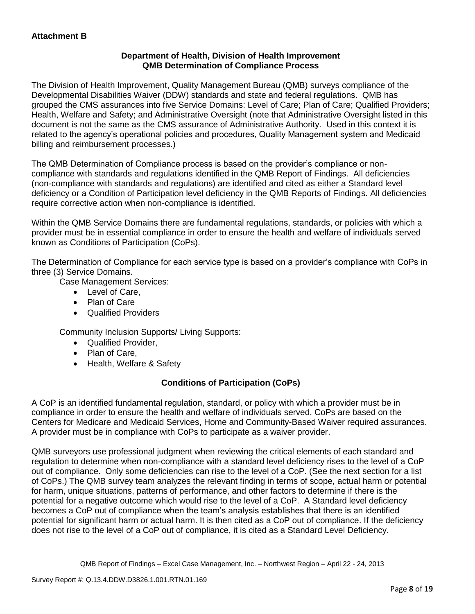## **Department of Health, Division of Health Improvement QMB Determination of Compliance Process**

The Division of Health Improvement, Quality Management Bureau (QMB) surveys compliance of the Developmental Disabilities Waiver (DDW) standards and state and federal regulations. QMB has grouped the CMS assurances into five Service Domains: Level of Care; Plan of Care; Qualified Providers; Health, Welfare and Safety; and Administrative Oversight (note that Administrative Oversight listed in this document is not the same as the CMS assurance of Administrative Authority. Used in this context it is related to the agency's operational policies and procedures, Quality Management system and Medicaid billing and reimbursement processes.)

The QMB Determination of Compliance process is based on the provider's compliance or noncompliance with standards and regulations identified in the QMB Report of Findings. All deficiencies (non-compliance with standards and regulations) are identified and cited as either a Standard level deficiency or a Condition of Participation level deficiency in the QMB Reports of Findings. All deficiencies require corrective action when non-compliance is identified.

Within the QMB Service Domains there are fundamental regulations, standards, or policies with which a provider must be in essential compliance in order to ensure the health and welfare of individuals served known as Conditions of Participation (CoPs).

The Determination of Compliance for each service type is based on a provider's compliance with CoPs in three (3) Service Domains.

Case Management Services:

- Level of Care,
- Plan of Care
- Qualified Providers

Community Inclusion Supports/ Living Supports:

- Qualified Provider,
- Plan of Care,
- Health, Welfare & Safety

# **Conditions of Participation (CoPs)**

A CoP is an identified fundamental regulation, standard, or policy with which a provider must be in compliance in order to ensure the health and welfare of individuals served. CoPs are based on the Centers for Medicare and Medicaid Services, Home and Community-Based Waiver required assurances. A provider must be in compliance with CoPs to participate as a waiver provider.

QMB surveyors use professional judgment when reviewing the critical elements of each standard and regulation to determine when non-compliance with a standard level deficiency rises to the level of a CoP out of compliance. Only some deficiencies can rise to the level of a CoP. (See the next section for a list of CoPs.) The QMB survey team analyzes the relevant finding in terms of scope, actual harm or potential for harm, unique situations, patterns of performance, and other factors to determine if there is the potential for a negative outcome which would rise to the level of a CoP. A Standard level deficiency becomes a CoP out of compliance when the team's analysis establishes that there is an identified potential for significant harm or actual harm. It is then cited as a CoP out of compliance. If the deficiency does not rise to the level of a CoP out of compliance, it is cited as a Standard Level Deficiency.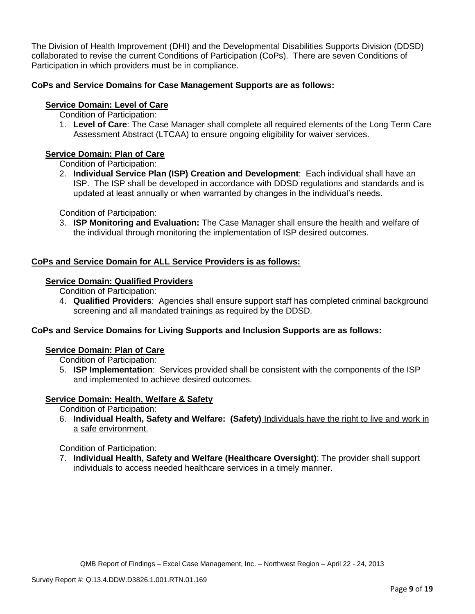The Division of Health Improvement (DHI) and the Developmental Disabilities Supports Division (DDSD) collaborated to revise the current Conditions of Participation (CoPs). There are seven Conditions of Participation in which providers must be in compliance.

## **CoPs and Service Domains for Case Management Supports are as follows:**

## **Service Domain: Level of Care**

- Condition of Participation:
- 1. **Level of Care**: The Case Manager shall complete all required elements of the Long Term Care Assessment Abstract (LTCAA) to ensure ongoing eligibility for waiver services.

## **Service Domain: Plan of Care**

Condition of Participation:

2. **Individual Service Plan (ISP) Creation and Development**: Each individual shall have an ISP. The ISP shall be developed in accordance with DDSD regulations and standards and is updated at least annually or when warranted by changes in the individual's needs.

Condition of Participation:

3. **ISP Monitoring and Evaluation:** The Case Manager shall ensure the health and welfare of the individual through monitoring the implementation of ISP desired outcomes.

## **CoPs and Service Domain for ALL Service Providers is as follows:**

## **Service Domain: Qualified Providers**

- Condition of Participation:
- 4. **Qualified Providers**: Agencies shall ensure support staff has completed criminal background screening and all mandated trainings as required by the DDSD.

## **CoPs and Service Domains for Living Supports and Inclusion Supports are as follows:**

#### **Service Domain: Plan of Care**

Condition of Participation:

5. **ISP Implementation**: Services provided shall be consistent with the components of the ISP and implemented to achieve desired outcomes.

## **Service Domain: Health, Welfare & Safety**

Condition of Participation:

6. **Individual Health, Safety and Welfare: (Safety)** Individuals have the right to live and work in a safe environment.

Condition of Participation:

7. **Individual Health, Safety and Welfare (Healthcare Oversight)**: The provider shall support individuals to access needed healthcare services in a timely manner.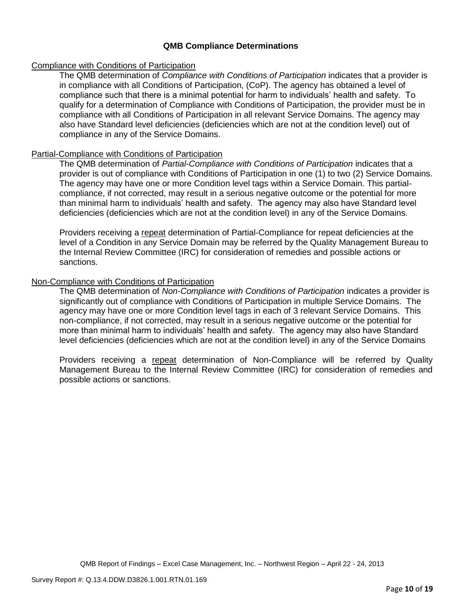### **QMB Compliance Determinations**

#### Compliance with Conditions of Participation

The QMB determination of *Compliance with Conditions of Participation* indicates that a provider is in compliance with all Conditions of Participation, (CoP). The agency has obtained a level of compliance such that there is a minimal potential for harm to individuals' health and safety. To qualify for a determination of Compliance with Conditions of Participation, the provider must be in compliance with all Conditions of Participation in all relevant Service Domains. The agency may also have Standard level deficiencies (deficiencies which are not at the condition level) out of compliance in any of the Service Domains.

### Partial-Compliance with Conditions of Participation

The QMB determination of *Partial-Compliance with Conditions of Participation* indicates that a provider is out of compliance with Conditions of Participation in one (1) to two (2) Service Domains. The agency may have one or more Condition level tags within a Service Domain. This partialcompliance, if not corrected, may result in a serious negative outcome or the potential for more than minimal harm to individuals' health and safety. The agency may also have Standard level deficiencies (deficiencies which are not at the condition level) in any of the Service Domains.

Providers receiving a repeat determination of Partial-Compliance for repeat deficiencies at the level of a Condition in any Service Domain may be referred by the Quality Management Bureau to the Internal Review Committee (IRC) for consideration of remedies and possible actions or sanctions.

### Non-Compliance with Conditions of Participation

The QMB determination of *Non-Compliance with Conditions of Participation* indicates a provider is significantly out of compliance with Conditions of Participation in multiple Service Domains. The agency may have one or more Condition level tags in each of 3 relevant Service Domains. This non-compliance, if not corrected, may result in a serious negative outcome or the potential for more than minimal harm to individuals' health and safety. The agency may also have Standard level deficiencies (deficiencies which are not at the condition level) in any of the Service Domains

Providers receiving a repeat determination of Non-Compliance will be referred by Quality Management Bureau to the Internal Review Committee (IRC) for consideration of remedies and possible actions or sanctions.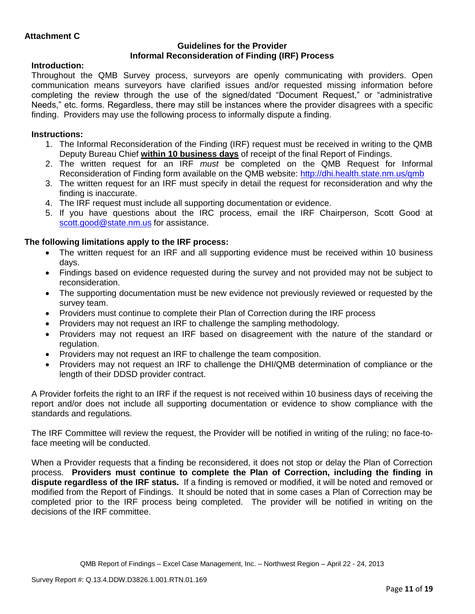### **Guidelines for the Provider Informal Reconsideration of Finding (IRF) Process**

## **Introduction:**

Throughout the QMB Survey process, surveyors are openly communicating with providers. Open communication means surveyors have clarified issues and/or requested missing information before completing the review through the use of the signed/dated "Document Request," or "administrative Needs," etc. forms. Regardless, there may still be instances where the provider disagrees with a specific finding. Providers may use the following process to informally dispute a finding.

# **Instructions:**

- 1. The Informal Reconsideration of the Finding (IRF) request must be received in writing to the QMB Deputy Bureau Chief **within 10 business days** of receipt of the final Report of Findings.
- 2. The written request for an IRF *must* be completed on the QMB Request for Informal Reconsideration of Finding form available on the QMB website:<http://dhi.health.state.nm.us/qmb>
- 3. The written request for an IRF must specify in detail the request for reconsideration and why the finding is inaccurate.
- 4. The IRF request must include all supporting documentation or evidence.
- 5. If you have questions about the IRC process, email the IRF Chairperson, Scott Good at [scott.good@state.nm.us](mailto:scott.good@state.nm.us) for assistance.

# **The following limitations apply to the IRF process:**

- The written request for an IRF and all supporting evidence must be received within 10 business days.
- Findings based on evidence requested during the survey and not provided may not be subject to reconsideration.
- The supporting documentation must be new evidence not previously reviewed or requested by the survey team.
- Providers must continue to complete their Plan of Correction during the IRF process
- Providers may not request an IRF to challenge the sampling methodology.
- Providers may not request an IRF based on disagreement with the nature of the standard or regulation.
- Providers may not request an IRF to challenge the team composition.
- Providers may not request an IRF to challenge the DHI/QMB determination of compliance or the length of their DDSD provider contract.

A Provider forfeits the right to an IRF if the request is not received within 10 business days of receiving the report and/or does not include all supporting documentation or evidence to show compliance with the standards and regulations.

The IRF Committee will review the request, the Provider will be notified in writing of the ruling; no face-toface meeting will be conducted.

When a Provider requests that a finding be reconsidered, it does not stop or delay the Plan of Correction process. **Providers must continue to complete the Plan of Correction, including the finding in dispute regardless of the IRF status.** If a finding is removed or modified, it will be noted and removed or modified from the Report of Findings. It should be noted that in some cases a Plan of Correction may be completed prior to the IRF process being completed. The provider will be notified in writing on the decisions of the IRF committee.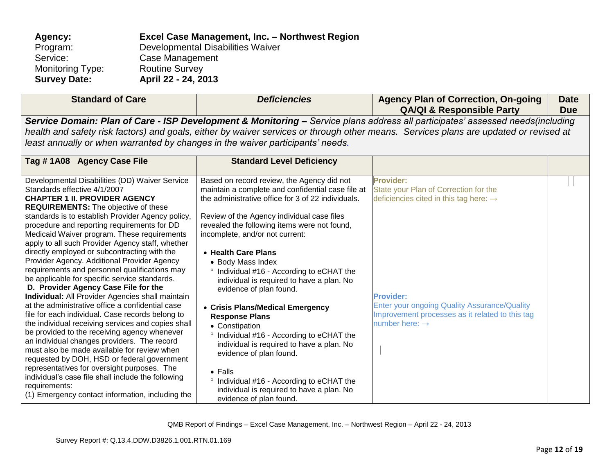| Agency:             | Excel Case Management, Inc. - Northwest Region |
|---------------------|------------------------------------------------|
| Program:            | Developmental Disabilities Waiver              |
| Service:            | Case Management                                |
| Monitoring Type:    | <b>Routine Survey</b>                          |
| <b>Survey Date:</b> | April 22 - 24, 2013                            |
|                     |                                                |

| <b>Standard of Care</b>                                                                                                                                                                                                                                                                                                                                                                                                                                                                                                                                                                                                                                                                                                                                                                                                                                                                                                                                                                                                                                                                                                                                                                                        | <b>Deficiencies</b>                                                                                                                                                                                                                                                                                                                                                                                                                                                                                                                                                                                                                                                                                                                                                                                 | <b>Agency Plan of Correction, On-going</b><br><b>QA/QI &amp; Responsible Party</b>                                                                                                                                                                                          | <b>Date</b><br><b>Due</b> |  |
|----------------------------------------------------------------------------------------------------------------------------------------------------------------------------------------------------------------------------------------------------------------------------------------------------------------------------------------------------------------------------------------------------------------------------------------------------------------------------------------------------------------------------------------------------------------------------------------------------------------------------------------------------------------------------------------------------------------------------------------------------------------------------------------------------------------------------------------------------------------------------------------------------------------------------------------------------------------------------------------------------------------------------------------------------------------------------------------------------------------------------------------------------------------------------------------------------------------|-----------------------------------------------------------------------------------------------------------------------------------------------------------------------------------------------------------------------------------------------------------------------------------------------------------------------------------------------------------------------------------------------------------------------------------------------------------------------------------------------------------------------------------------------------------------------------------------------------------------------------------------------------------------------------------------------------------------------------------------------------------------------------------------------------|-----------------------------------------------------------------------------------------------------------------------------------------------------------------------------------------------------------------------------------------------------------------------------|---------------------------|--|
| Service Domain: Plan of Care - ISP Development & Monitoring - Service plans address all participates' assessed needs(including<br>health and safety risk factors) and goals, either by waiver services or through other means. Services plans are updated or revised at<br>least annually or when warranted by changes in the waiver participants' needs.                                                                                                                                                                                                                                                                                                                                                                                                                                                                                                                                                                                                                                                                                                                                                                                                                                                      |                                                                                                                                                                                                                                                                                                                                                                                                                                                                                                                                                                                                                                                                                                                                                                                                     |                                                                                                                                                                                                                                                                             |                           |  |
| Tag #1A08 Agency Case File                                                                                                                                                                                                                                                                                                                                                                                                                                                                                                                                                                                                                                                                                                                                                                                                                                                                                                                                                                                                                                                                                                                                                                                     | <b>Standard Level Deficiency</b>                                                                                                                                                                                                                                                                                                                                                                                                                                                                                                                                                                                                                                                                                                                                                                    |                                                                                                                                                                                                                                                                             |                           |  |
| Developmental Disabilities (DD) Waiver Service<br>Standards effective 4/1/2007<br><b>CHAPTER 1 II. PROVIDER AGENCY</b><br><b>REQUIREMENTS:</b> The objective of these<br>standards is to establish Provider Agency policy,<br>procedure and reporting requirements for DD<br>Medicaid Waiver program. These requirements<br>apply to all such Provider Agency staff, whether<br>directly employed or subcontracting with the<br>Provider Agency. Additional Provider Agency<br>requirements and personnel qualifications may<br>be applicable for specific service standards.<br>D. Provider Agency Case File for the<br>Individual: All Provider Agencies shall maintain<br>at the administrative office a confidential case<br>file for each individual. Case records belong to<br>the individual receiving services and copies shall<br>be provided to the receiving agency whenever<br>an individual changes providers. The record<br>must also be made available for review when<br>requested by DOH, HSD or federal government<br>representatives for oversight purposes. The<br>individual's case file shall include the following<br>requirements:<br>(1) Emergency contact information, including the | Based on record review, the Agency did not<br>maintain a complete and confidential case file at<br>the administrative office for 3 of 22 individuals.<br>Review of the Agency individual case files<br>revealed the following items were not found,<br>incomplete, and/or not current:<br>• Health Care Plans<br>• Body Mass Index<br>° Individual #16 - According to eCHAT the<br>individual is required to have a plan. No<br>evidence of plan found.<br>• Crisis Plans/Medical Emergency<br><b>Response Plans</b><br>• Constipation<br>° Individual #16 - According to eCHAT the<br>individual is required to have a plan. No<br>evidence of plan found.<br>$\bullet$ Falls<br>° Individual #16 - According to eCHAT the<br>individual is required to have a plan. No<br>evidence of plan found. | <b>Provider:</b><br>State your Plan of Correction for the<br>deficiencies cited in this tag here: $\rightarrow$<br><b>Provider:</b><br><b>Enter your ongoing Quality Assurance/Quality</b><br>Improvement processes as it related to this tag<br>number here: $\rightarrow$ |                           |  |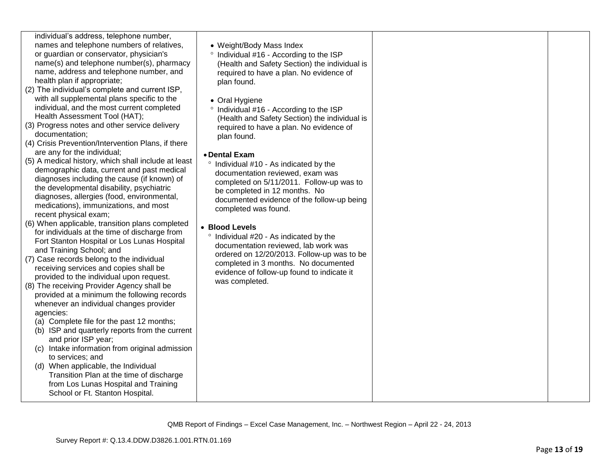- (2) The individual's complete and current ISP, with all supplemental plans specific to the individual, and the most current completed Health Assessment Tool (HAT);
- (3) Progress notes and other service delivery documentation;
- (4) Crisis Prevention/Intervention Plans, if there are any for the individual;
- (5) A medical history, which shall include at least demographic data, current and past medical diagnoses including the cause (if known) of the developmental disability, psychiatric diagnoses, allergies (food, environmental, medications), immunizations, and most recent physical exam;
- (6) When applicable, transition plans completed for individuals at the time of discharge from Fort Stanton Hospital or Los Lunas Hospital and Training School; and
- (7) Case records belong to the individual receiving services and copies shall be provided to the individual upon request.
- (8) The receiving Provider Agency shall be provided at a minimum the following records whenever an individual changes provider agencies:
	- (a) Complete file for the past 12 months;
	- (b) ISP and quarterly reports from the current and prior ISP year;
	- (c) Intake information from original admission to services; and
	- (d) When applicable, the Individual Transition Plan at the time of discharge from Los Lunas Hospital and Training School or Ft. Stanton Hospital.
- Weight/Body Mass Index
- $\degree$  Individual #16 According to the ISP (Health and Safety Section) the individual is required to have a plan. No evidence of plan found.
- Oral Hygiene
- $\degree$  Individual #16 According to the ISP (Health and Safety Section) the individual is required to have a plan. No evidence of plan found.
- **Dental Exam**
- $\degree$  Individual #10 As indicated by the documentation reviewed, exam was completed on 5/11/2011. Follow-up was to be completed in 12 months. No documented evidence of the follow-up being completed was found.
- **Blood Levels**
	- $\degree$  Individual #20 As indicated by the documentation reviewed, lab work was ordered on 12/20/2013. Follow-up was to be completed in 3 months. No documented evidence of follow-up found to indicate it was completed.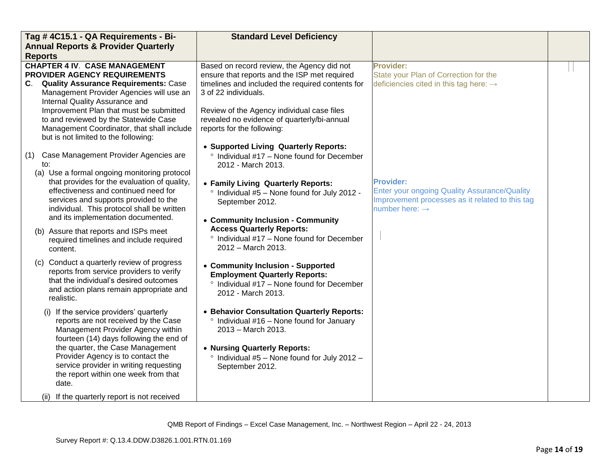| Tag #4C15.1 - QA Requirements - Bi-                                                                                                                                                                                                                                                                                                                                                 | <b>Standard Level Deficiency</b>                                                                                                                                                                                                                                                                  |                                                                                                                                                          |  |
|-------------------------------------------------------------------------------------------------------------------------------------------------------------------------------------------------------------------------------------------------------------------------------------------------------------------------------------------------------------------------------------|---------------------------------------------------------------------------------------------------------------------------------------------------------------------------------------------------------------------------------------------------------------------------------------------------|----------------------------------------------------------------------------------------------------------------------------------------------------------|--|
| <b>Annual Reports &amp; Provider Quarterly</b>                                                                                                                                                                                                                                                                                                                                      |                                                                                                                                                                                                                                                                                                   |                                                                                                                                                          |  |
| <b>Reports</b>                                                                                                                                                                                                                                                                                                                                                                      |                                                                                                                                                                                                                                                                                                   |                                                                                                                                                          |  |
| <b>CHAPTER 4 IV. CASE MANAGEMENT</b><br>PROVIDER AGENCY REQUIREMENTS<br>C. Quality Assurance Requirements: Case<br>Management Provider Agencies will use an<br>Internal Quality Assurance and<br>Improvement Plan that must be submitted<br>to and reviewed by the Statewide Case<br>Management Coordinator, that shall include<br>but is not limited to the following:             | Based on record review, the Agency did not<br>ensure that reports and the ISP met required<br>timelines and included the required contents for<br>3 of 22 individuals.<br>Review of the Agency individual case files<br>revealed no evidence of quarterly/bi-annual<br>reports for the following: | <b>Provider:</b><br>State your Plan of Correction for the<br>deficiencies cited in this tag here: $\rightarrow$                                          |  |
| Case Management Provider Agencies are<br>(1)<br>to:<br>(a) Use a formal ongoing monitoring protocol<br>that provides for the evaluation of quality,<br>effectiveness and continued need for<br>services and supports provided to the<br>individual. This protocol shall be written<br>and its implementation documented.                                                            | • Supported Living Quarterly Reports:<br>° Individual #17 - None found for December<br>2012 - March 2013.<br>• Family Living Quarterly Reports:<br><sup>o</sup> Individual #5 - None found for July 2012 -<br>September 2012.<br>• Community Inclusion - Community                                | <b>Provider:</b><br><b>Enter your ongoing Quality Assurance/Quality</b><br>Improvement processes as it related to this tag<br>number here: $\rightarrow$ |  |
| (b) Assure that reports and ISPs meet<br>required timelines and include required<br>content.                                                                                                                                                                                                                                                                                        | <b>Access Quarterly Reports:</b><br>$\degree$ Individual #17 – None found for December<br>2012 - March 2013.                                                                                                                                                                                      |                                                                                                                                                          |  |
| (c) Conduct a quarterly review of progress<br>reports from service providers to verify<br>that the individual's desired outcomes<br>and action plans remain appropriate and<br>realistic.                                                                                                                                                                                           | • Community Inclusion - Supported<br><b>Employment Quarterly Reports:</b><br>° Individual #17 - None found for December<br>2012 - March 2013.                                                                                                                                                     |                                                                                                                                                          |  |
| (i) If the service providers' quarterly<br>reports are not received by the Case<br>Management Provider Agency within<br>fourteen (14) days following the end of<br>the quarter, the Case Management<br>Provider Agency is to contact the<br>service provider in writing requesting<br>the report within one week from that<br>date.<br>(ii) If the quarterly report is not received | • Behavior Consultation Quarterly Reports:<br>$\degree$ Individual #16 - None found for January<br>2013 - March 2013.<br>• Nursing Quarterly Reports:<br>$\degree$ Individual #5 - None found for July 2012 -<br>September 2012.                                                                  |                                                                                                                                                          |  |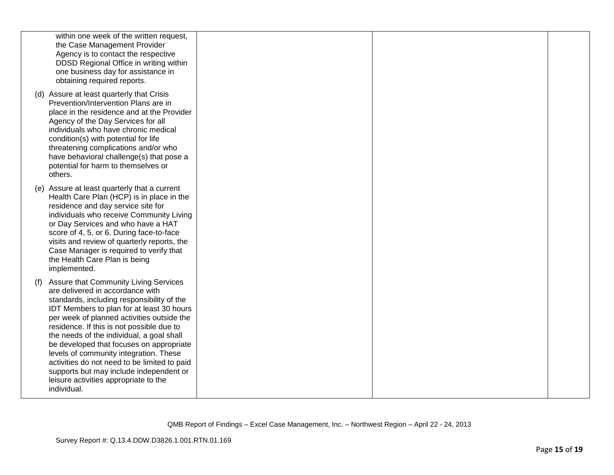| within one week of the written request,<br>the Case Management Provider<br>Agency is to contact the respective<br>DDSD Regional Office in writing within<br>one business day for assistance in<br>obtaining required reports.                                                                                                                                                                                                                                                                                                                                |  |  |
|--------------------------------------------------------------------------------------------------------------------------------------------------------------------------------------------------------------------------------------------------------------------------------------------------------------------------------------------------------------------------------------------------------------------------------------------------------------------------------------------------------------------------------------------------------------|--|--|
| (d) Assure at least quarterly that Crisis<br>Prevention/Intervention Plans are in<br>place in the residence and at the Provider<br>Agency of the Day Services for all<br>individuals who have chronic medical<br>condition(s) with potential for life<br>threatening complications and/or who<br>have behavioral challenge(s) that pose a<br>potential for harm to themselves or<br>others.                                                                                                                                                                  |  |  |
| (e) Assure at least quarterly that a current<br>Health Care Plan (HCP) is in place in the<br>residence and day service site for<br>individuals who receive Community Living<br>or Day Services and who have a HAT<br>score of 4, 5, or 6. During face-to-face<br>visits and review of quarterly reports, the<br>Case Manager is required to verify that<br>the Health Care Plan is being<br>implemented.                                                                                                                                                     |  |  |
| Assure that Community Living Services<br>(f)<br>are delivered in accordance with<br>standards, including responsibility of the<br>IDT Members to plan for at least 30 hours<br>per week of planned activities outside the<br>residence. If this is not possible due to<br>the needs of the individual, a goal shall<br>be developed that focuses on appropriate<br>levels of community integration. These<br>activities do not need to be limited to paid<br>supports but may include independent or<br>leisure activities appropriate to the<br>individual. |  |  |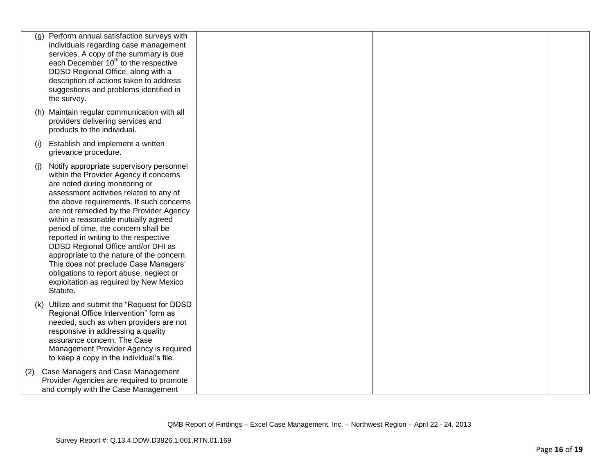|     | Perform annual satisfaction surveys with<br>(g)<br>individuals regarding case management<br>services. A copy of the summary is due<br>each December 10 <sup>th</sup> to the respective<br>DDSD Regional Office, along with a<br>description of actions taken to address<br>suggestions and problems identified in<br>the survey.                                                                                                                                                                                                                                                                            |  |  |
|-----|-------------------------------------------------------------------------------------------------------------------------------------------------------------------------------------------------------------------------------------------------------------------------------------------------------------------------------------------------------------------------------------------------------------------------------------------------------------------------------------------------------------------------------------------------------------------------------------------------------------|--|--|
|     | (h) Maintain regular communication with all<br>providers delivering services and<br>products to the individual.                                                                                                                                                                                                                                                                                                                                                                                                                                                                                             |  |  |
| (i) | Establish and implement a written<br>grievance procedure.                                                                                                                                                                                                                                                                                                                                                                                                                                                                                                                                                   |  |  |
| (i) | Notify appropriate supervisory personnel<br>within the Provider Agency if concerns<br>are noted during monitoring or<br>assessment activities related to any of<br>the above requirements. If such concerns<br>are not remedied by the Provider Agency<br>within a reasonable mutually agreed<br>period of time, the concern shall be<br>reported in writing to the respective<br>DDSD Regional Office and/or DHI as<br>appropriate to the nature of the concern.<br>This does not preclude Case Managers'<br>obligations to report abuse, neglect or<br>exploitation as required by New Mexico<br>Statute. |  |  |
|     | (k) Utilize and submit the "Request for DDSD<br>Regional Office Intervention" form as<br>needed, such as when providers are not<br>responsive in addressing a quality<br>assurance concern. The Case<br>Management Provider Agency is required<br>to keep a copy in the individual's file.                                                                                                                                                                                                                                                                                                                  |  |  |
| (2) | Case Managers and Case Management<br>Provider Agencies are required to promote<br>and comply with the Case Management                                                                                                                                                                                                                                                                                                                                                                                                                                                                                       |  |  |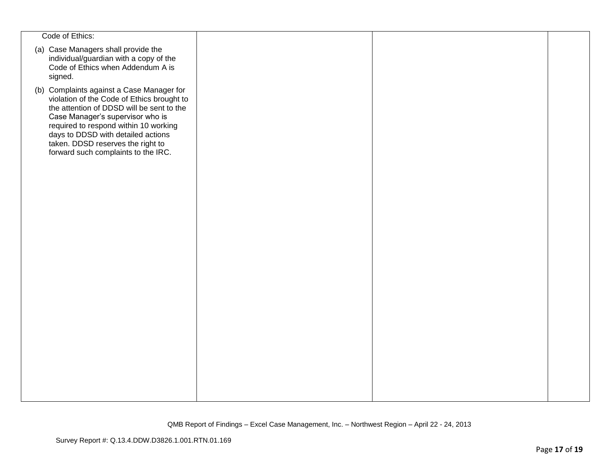| Code of Ethics:                                                                                                                                                                                                                                                                                                                     |  |  |
|-------------------------------------------------------------------------------------------------------------------------------------------------------------------------------------------------------------------------------------------------------------------------------------------------------------------------------------|--|--|
| (a) Case Managers shall provide the<br>individual/guardian with a copy of the<br>Code of Ethics when Addendum A is<br>signed.                                                                                                                                                                                                       |  |  |
| (b) Complaints against a Case Manager for<br>violation of the Code of Ethics brought to<br>the attention of DDSD will be sent to the<br>Case Manager's supervisor who is<br>required to respond within 10 working<br>days to DDSD with detailed actions<br>taken. DDSD reserves the right to<br>forward such complaints to the IRC. |  |  |
|                                                                                                                                                                                                                                                                                                                                     |  |  |
|                                                                                                                                                                                                                                                                                                                                     |  |  |
|                                                                                                                                                                                                                                                                                                                                     |  |  |
|                                                                                                                                                                                                                                                                                                                                     |  |  |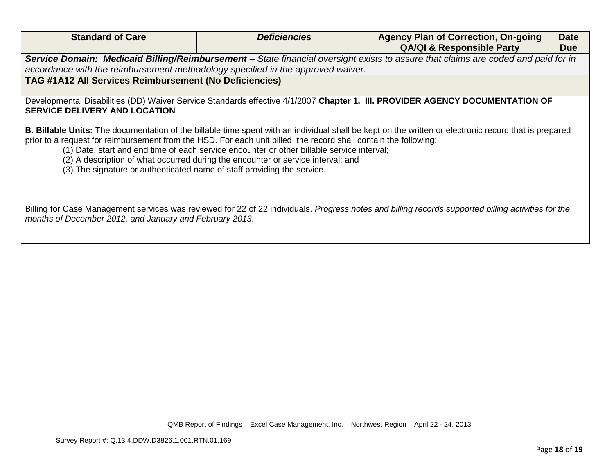| <b>Standard of Care</b>                                                         | <b>Deficiencies</b>                                                                                                                                                                                                                                                                                | <b>Agency Plan of Correction, On-going</b>                                                                                                            | <b>Date</b> |
|---------------------------------------------------------------------------------|----------------------------------------------------------------------------------------------------------------------------------------------------------------------------------------------------------------------------------------------------------------------------------------------------|-------------------------------------------------------------------------------------------------------------------------------------------------------|-------------|
|                                                                                 |                                                                                                                                                                                                                                                                                                    | <b>QA/QI &amp; Responsible Party</b>                                                                                                                  | <b>Due</b>  |
|                                                                                 |                                                                                                                                                                                                                                                                                                    | Service Domain: Medicaid Billing/Reimbursement – State financial oversight exists to assure that claims are coded and paid for in                     |             |
| accordance with the reimbursement methodology specified in the approved waiver. |                                                                                                                                                                                                                                                                                                    |                                                                                                                                                       |             |
| TAG #1A12 All Services Reimbursement (No Deficiencies)                          |                                                                                                                                                                                                                                                                                                    |                                                                                                                                                       |             |
|                                                                                 |                                                                                                                                                                                                                                                                                                    |                                                                                                                                                       |             |
|                                                                                 |                                                                                                                                                                                                                                                                                                    | Developmental Disabilities (DD) Waiver Service Standards effective 4/1/2007 Chapter 1. III. PROVIDER AGENCY DOCUMENTATION OF                          |             |
| <b>SERVICE DELIVERY AND LOCATION</b>                                            |                                                                                                                                                                                                                                                                                                    |                                                                                                                                                       |             |
| (3) The signature or authenticated name of staff providing the service.         | prior to a request for reimbursement from the HSD. For each unit billed, the record shall contain the following:<br>(1) Date, start and end time of each service encounter or other billable service interval;<br>(2) A description of what occurred during the encounter or service interval; and | B. Billable Units: The documentation of the billable time spent with an individual shall be kept on the written or electronic record that is prepared |             |
| months of December 2012, and January and February 2013.                         |                                                                                                                                                                                                                                                                                                    | Billing for Case Management services was reviewed for 22 of 22 individuals. Progress notes and billing records supported billing activities for the   |             |